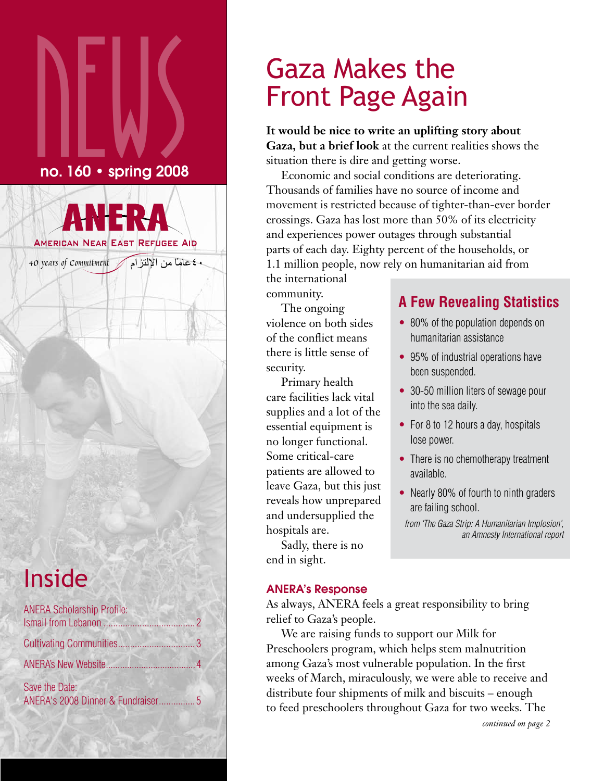# $\sum_{\sf no.160\cdot spring\,2008}$ no. 160 • spring 2008

ً ٤٠عاما من الإلتزام Commitment of years 40

**AMERICAN NEAR EAST REFUGEE AID** 

# Inside

| <b>ANERA Scholarship Profile:</b>                   |  |
|-----------------------------------------------------|--|
|                                                     |  |
|                                                     |  |
| Save the Date:<br>ANERA's 2008 Dinner & Fundraiser5 |  |

# Gaza Makes the Front Page Again

**It would be nice to write an uplifting story about Gaza, but a brief look** at the current realities shows the situation there is dire and getting worse.

Economic and social conditions are deteriorating. Thousands of families have no source of income and movement is restricted because of tighter-than-ever border crossings. Gaza has lost more than 50% of its electricity and experiences power outages through substantial parts of each day. Eighty percent of the households, or 1.1 million people, now rely on humanitarian aid from

the international community.

The ongoing violence on both sides of the conflict means there is little sense of security.

Primary health care facilities lack vital supplies and a lot of the essential equipment is no longer functional. Some critical-care patients are allowed to leave Gaza, but this just reveals how unprepared and undersupplied the hospitals are.

Sadly, there is no end in sight.

## **A Few Revealing Statistics**

- 80% of the population depends on humanitarian assistance
- 95% of industrial operations have been suspended.
- 30-50 million liters of sewage pour into the sea daily.
- For 8 to 12 hours a day, hospitals lose power.
- There is no chemotherapy treatment available.
- Nearly 80% of fourth to ninth graders are failing school.

*from 'The Gaza Strip: A Humanitarian Implosion', an Amnesty International report*

## ANERA's Response

As always, ANERA feels a great responsibility to bring relief to Gaza's people.

We are raising funds to support our Milk for Preschoolers program, which helps stem malnutrition among Gaza's most vulnerable population. In the first weeks of March, miraculously, we were able to receive and distribute four shipments of milk and biscuits – enough to feed preschoolers throughout Gaza for two weeks. The

*continued on page 2*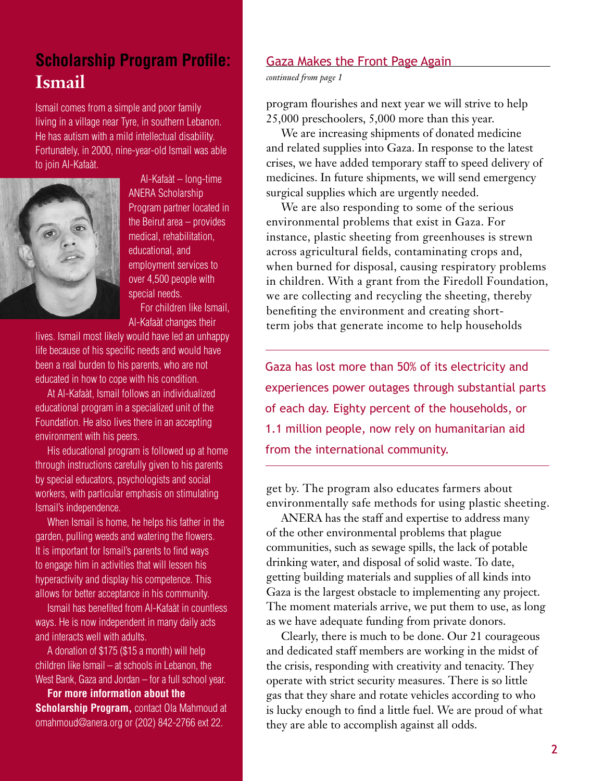## **Scholarship Program Profile: Ismail**

Ismail comes from a simple and poor family living in a village near Tyre, in southern Lebanon. He has autism with a mild intellectual disability. Fortunately, in 2000, nine-year-old Ismail was able to join Al-Kafaàt.



Al-Kafaàt – long-time ANERA Scholarship Program partner located in the Beirut area – provides medical, rehabilitation, educational, and employment services to over 4,500 people with special needs.

For children like Ismail, Al-Kafaàt changes their

lives. Ismail most likely would have led an unhappy life because of his specific needs and would have been a real burden to his parents, who are not educated in how to cope with his condition.

At Al-Kafaàt, Ismail follows an individualized educational program in a specialized unit of the Foundation. He also lives there in an accepting environment with his peers.

His educational program is followed up at home through instructions carefully given to his parents by special educators, psychologists and social workers, with particular emphasis on stimulating Ismail's independence.

When Ismail is home, he helps his father in the garden, pulling weeds and watering the flowers. It is important for Ismail's parents to find ways to engage him in activities that will lessen his hyperactivity and display his competence. This allows for better acceptance in his community.

Ismail has benefited from Al-Kafaàt in countless ways. He is now independent in many daily acts and interacts well with adults.

A donation of \$175 (\$15 a month) will help children like Ismail – at schools in Lebanon, the West Bank, Gaza and Jordan – for a full school year.

**For more information about the Scholarship Program,** contact Ola Mahmoud at omahmoud@anera.org or (202) 842-2766 ext 22.

## Gaza Makes the Front Page Again

*continued from page 1*

program flourishes and next year we will strive to help 25,000 preschoolers, 5,000 more than this year.

We are increasing shipments of donated medicine and related supplies into Gaza. In response to the latest crises, we have added temporary staff to speed delivery of medicines. In future shipments, we will send emergency surgical supplies which are urgently needed.

We are also responding to some of the serious environmental problems that exist in Gaza. For instance, plastic sheeting from greenhouses is strewn across agricultural fields, contaminating crops and, when burned for disposal, causing respiratory problems in children. With a grant from the Firedoll Foundation, we are collecting and recycling the sheeting, thereby benefiting the environment and creating shortterm jobs that generate income to help households

Gaza has lost more than 50% of its electricity and experiences power outages through substantial parts of each day. Eighty percent of the households, or 1.1 million people, now rely on humanitarian aid from the international community.

get by. The program also educates farmers about environmentally safe methods for using plastic sheeting.

ANERA has the staff and expertise to address many of the other environmental problems that plague communities, such as sewage spills, the lack of potable drinking water, and disposal of solid waste. To date, getting building materials and supplies of all kinds into Gaza is the largest obstacle to implementing any project. The moment materials arrive, we put them to use, as long as we have adequate funding from private donors.

Clearly, there is much to be done. Our 21 courageous and dedicated staff members are working in the midst of the crisis, responding with creativity and tenacity. They operate with strict security measures. There is so little gas that they share and rotate vehicles according to who is lucky enough to find a little fuel. We are proud of what they are able to accomplish against all odds.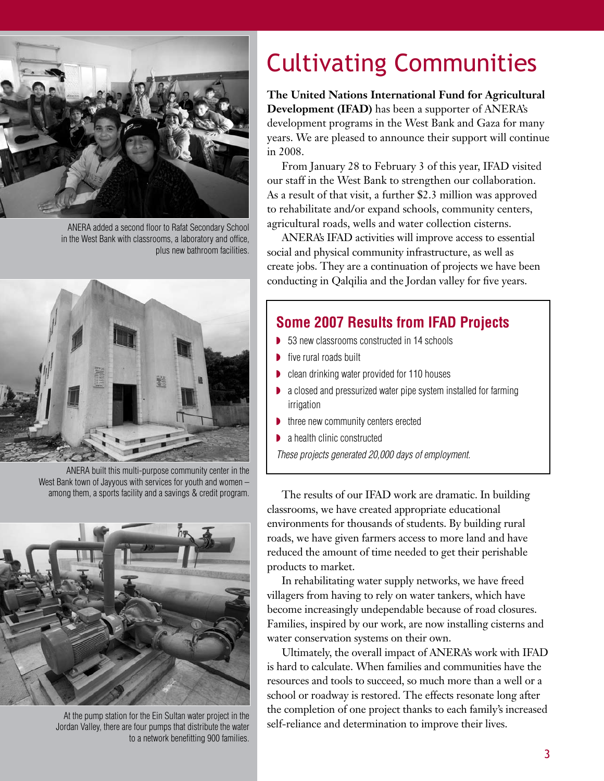

ANERA added a second floor to Rafat Secondary School in the West Bank with classrooms, a laboratory and office, plus new bathroom facilities.



ANERA built this multi-purpose community center in the West Bank town of Jayyous with services for youth and women – among them, a sports facility and a savings & credit program.



At the pump station for the Ein Sultan water project in the Jordan Valley, there are four pumps that distribute the water to a network benefitting 900 families.

# Cultivating Communities

**The United Nations International Fund for Agricultural Development (IFAD)** has been a supporter of ANERA's development programs in the West Bank and Gaza for many years. We are pleased to announce their support will continue in 2008.

From January 28 to February 3 of this year, IFAD visited our staff in the West Bank to strengthen our collaboration. As a result of that visit, a further \$2.3 million was approved to rehabilitate and/or expand schools, community centers, agricultural roads, wells and water collection cisterns.

ANERA's IFAD activities will improve access to essential social and physical community infrastructure, as well as create jobs. They are a continuation of projects we have been conducting in Qalqilia and the Jordan valley for five years.

## **Some 2007 Results from IFAD Projects**

- ◗ 53 new classrooms constructed in 14 schools
- five rural roads built
- ◗ clean drinking water provided for 110 houses
- ◗ a closed and pressurized water pipe system installed for farming irrigation
- ◗ three new community centers erected
- a health clinic constructed

*These projects generated 20,000 days of employment.*

The results of our IFAD work are dramatic. In building classrooms, we have created appropriate educational environments for thousands of students. By building rural roads, we have given farmers access to more land and have reduced the amount of time needed to get their perishable products to market.

In rehabilitating water supply networks, we have freed villagers from having to rely on water tankers, which have become increasingly undependable because of road closures. Families, inspired by our work, are now installing cisterns and water conservation systems on their own.

Ultimately, the overall impact of ANERA's work with IFAD is hard to calculate. When families and communities have the resources and tools to succeed, so much more than a well or a school or roadway is restored. The effects resonate long after the completion of one project thanks to each family's increased self-reliance and determination to improve their lives.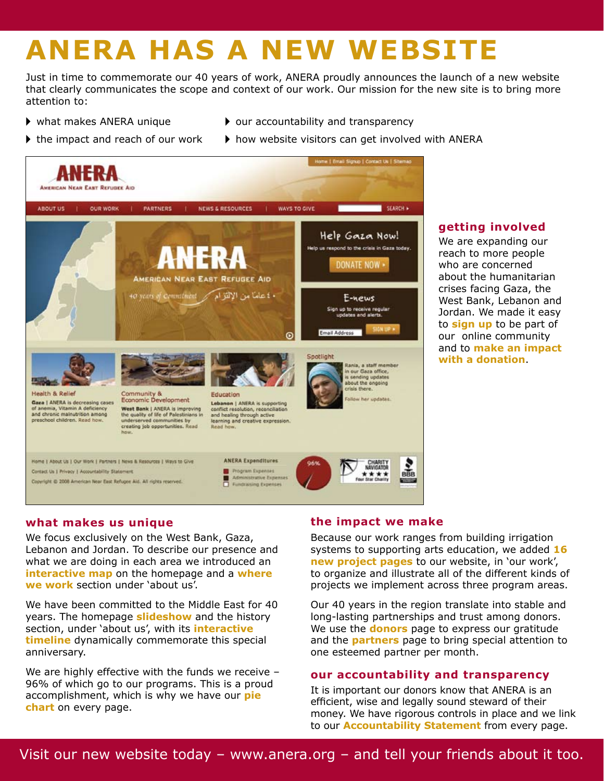# **ANERA HAS A NEW WEBSITE**

Just in time to commemorate our 40 years of work, ANERA proudly announces the launch of a new website that clearly communicates the scope and context of our work. Our mission for the new site is to bring more attention to:

- 
- $\triangleright$  what makes ANERA unique  $\triangleright$  our accountability and transparency
- 
- If the impact and reach of our work  $\longrightarrow$  how website visitors can get involved with ANERA



## **getting involved**

We are expanding our reach to more people who are concerned about the humanitarian crises facing Gaza, the West Bank, Lebanon and Jordan. We made it easy to **sign up** to be part of our online community and to **make an impact with a donation**.

## **what makes us unique**

We focus exclusively on the West Bank, Gaza, Lebanon and Jordan. To describe our presence and what we are doing in each area we introduced an **interactive map** on the homepage and a **where we work** section under 'about us'.

We have been committed to the Middle East for 40 years. The homepage **slideshow** and the history section, under 'about us', with its **interactive timeline** dynamically commemorate this special anniversary.

We are highly effective with the funds we receive -96% of which go to our programs. This is a proud accomplishment, which is why we have our **pie chart** on every page.

## **the impact we make**

Because our work ranges from building irrigation systems to supporting arts education, we added **16 new project pages** to our website, in 'our work', to organize and illustrate all of the different kinds of projects we implement across three program areas.

Our 40 years in the region translate into stable and long-lasting partnerships and trust among donors. We use the **donors** page to express our gratitude and the **partners** page to bring special attention to one esteemed partner per month.

#### **our accountability and transparency**

It is important our donors know that ANERA is an efficient, wise and legally sound steward of their money. We have rigorous controls in place and we link to our **Accountability Statement** from every page.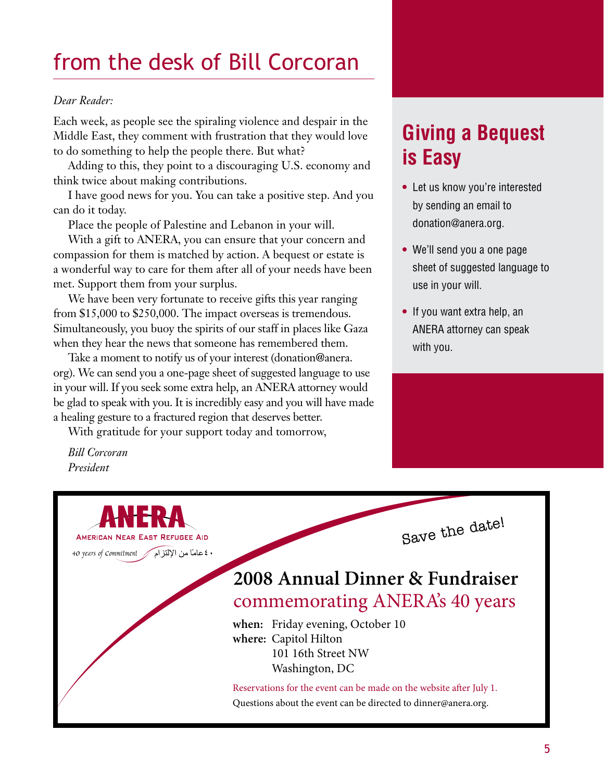## from the desk of Bill Corcoran

#### *Dear Reader:*

Each week, as people see the spiraling violence and despair in the Middle East, they comment with frustration that they would love to do something to help the people there. But what?

Adding to this, they point to a discouraging U.S. economy and think twice about making contributions.

I have good news for you. You can take a positive step. And you can do it today.

Place the people of Palestine and Lebanon in your will.

With a gift to ANERA, you can ensure that your concern and compassion for them is matched by action. A bequest or estate is a wonderful way to care for them after all of your needs have been met. Support them from your surplus.

We have been very fortunate to receive gifts this year ranging from \$15,000 to \$250,000. The impact overseas is tremendous. Simultaneously, you buoy the spirits of our staff in places like Gaza when they hear the news that someone has remembered them.

Take a moment to notify us of your interest (donation@anera. org). We can send you a one-page sheet of suggested language to use in your will. If you seek some extra help, an ANERA attorney would be glad to speak with you. It is incredibly easy and you will have made a healing gesture to a fractured region that deserves better.

With gratitude for your support today and tomorrow,

*Bill Corcoran President*

٤٠ عامًا من الإلتزام / 40 years of Commitment

AMERICAN NEAR EAST REFUGEE AID

## **Giving a Bequest is Easy**

- **•** Let us know you're interested by sending an email to donation@anera.org.
- **•** We'll send you a one page sheet of suggested language to use in your will.
- **•** If you want extra help, an ANERA attorney can speak with you.

Save the date!

## **2008 Annual Dinner & Fundraiser** commemorating ANERA's 40 years

**when:** Friday evening, October 10 **where:** Capitol Hilton 101 16th Street NW Washington, DC

Reservations for the event can be made on the website after July 1. Questions about the event can be directed to dinner@anera.org.